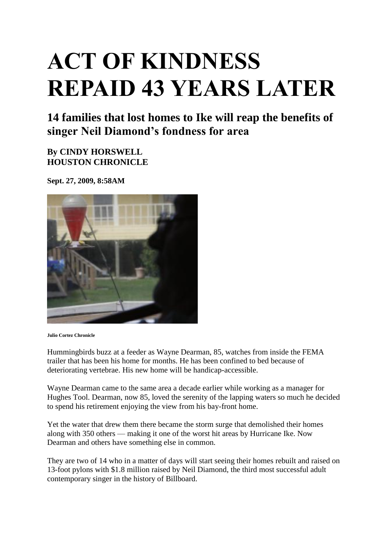## **ACT OF KINDNESS REPAID 43 YEARS LATER**

**14 families that lost homes to Ike will reap the benefits of singer Neil Diamond's fondness for area**

**By CINDY HORSWELL HOUSTON CHRONICLE**

**Sept. 27, 2009, 8:58AM**



**Julio Cortez Chronicle** 

Hummingbirds buzz at a feeder as Wayne Dearman, 85, watches from inside the FEMA trailer that has been his home for months. He has been confined to bed because of deteriorating vertebrae. His new home will be handicap-accessible.

Wayne Dearman came to the same area a decade earlier while working as a manager for Hughes Tool. Dearman, now 85, loved the serenity of the lapping waters so much he decided to spend his retirement enjoying the view from his bay-front home.

Yet the water that drew them there became the storm surge that demolished their homes along with 350 others — making it one of the worst hit areas by Hurricane Ike. Now Dearman and others have something else in common.

They are two of 14 who in a matter of days will start seeing their homes rebuilt and raised on 13-foot pylons with \$1.8 million raised by Neil Diamond, the third most successful adult contemporary singer in the history of Billboard.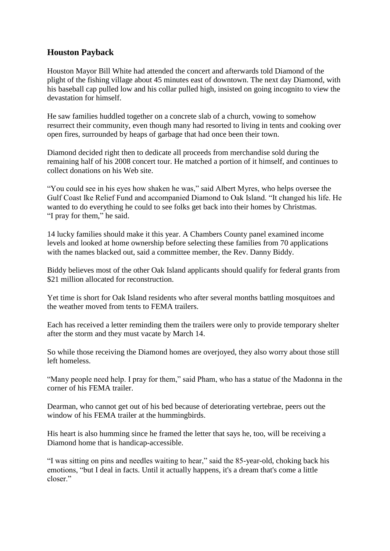## **Houston Payback**

Houston Mayor Bill White had attended the concert and afterwards told Diamond of the plight of the fishing village about 45 minutes east of downtown. The next day Diamond, with his baseball cap pulled low and his collar pulled high, insisted on going incognito to view the devastation for himself.

He saw families huddled together on a concrete slab of a church, vowing to somehow resurrect their community, even though many had resorted to living in tents and cooking over open fires, surrounded by heaps of garbage that had once been their town.

Diamond decided right then to dedicate all proceeds from merchandise sold during the remaining half of his 2008 concert tour. He matched a portion of it himself, and continues to collect donations on his Web site.

"You could see in his eyes how shaken he was," said Albert Myres, who helps oversee the Gulf Coast Ike Relief Fund and accompanied Diamond to Oak Island. "It changed his life. He wanted to do everything he could to see folks get back into their homes by Christmas. "I pray for them," he said.

14 lucky families should make it this year. A Chambers County panel examined income levels and looked at home ownership before selecting these families from 70 applications with the names blacked out, said a committee member, the Rev. Danny Biddy.

Biddy believes most of the other Oak Island applicants should qualify for federal grants from \$21 million allocated for reconstruction.

Yet time is short for Oak Island residents who after several months battling mosquitoes and the weather moved from tents to FEMA trailers.

Each has received a letter reminding them the trailers were only to provide temporary shelter after the storm and they must vacate by March 14.

So while those receiving the Diamond homes are overjoyed, they also worry about those still left homeless.

"Many people need help. I pray for them," said Pham, who has a statue of the Madonna in the corner of his FEMA trailer.

Dearman, who cannot get out of his bed because of deteriorating vertebrae, peers out the window of his FEMA trailer at the hummingbirds.

His heart is also humming since he framed the letter that says he, too, will be receiving a Diamond home that is handicap-accessible.

"I was sitting on pins and needles waiting to hear," said the 85-year-old, choking back his emotions, "but I deal in facts. Until it actually happens, it's a dream that's come a little closer"